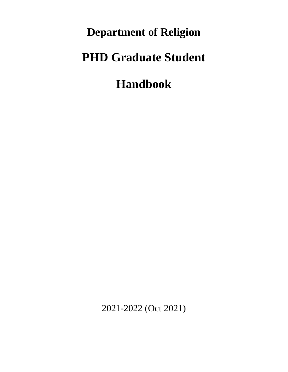**Department of Religion**

# **PHD Graduate Student**

**Handbook**

2021-2022 (Oct 2021)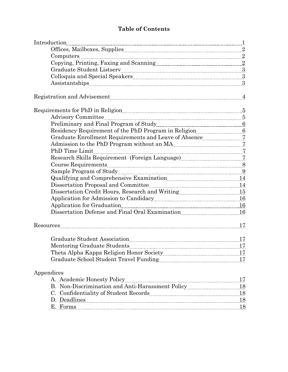## **Table of Contents**

| $\label{eq:1} \mbox{Introduction}\underset{\hspace{0.1cm}\text{underspace}}{\underbrace{\text{Introduction}}\textcolor{black}{\text{}}\textcolor{black}{\text{}}\textcolor{black}{\text{}}\textcolor{black}{\text{}}\textcolor{black}{\text{}}\textcolor{black}{\text{}}\textcolor{black}{\text{}}\textcolor{black}{\text{}}\textcolor{black}{\text{}}\textcolor{black}{\text{}}\textcolor{black}{\text{}}\textcolor{black}{\text{}}\textcolor{black}{\text{}}\textcolor{black}{\text{}}\textcolor{black}{\text{}}\textcolor{black}{\text{}}\textcolor{black}{\text{}}\textcolor{black}{\text{}}\textcolor$ |  |
|-------------------------------------------------------------------------------------------------------------------------------------------------------------------------------------------------------------------------------------------------------------------------------------------------------------------------------------------------------------------------------------------------------------------------------------------------------------------------------------------------------------------------------------------------------------------------------------------------------------|--|
|                                                                                                                                                                                                                                                                                                                                                                                                                                                                                                                                                                                                             |  |
|                                                                                                                                                                                                                                                                                                                                                                                                                                                                                                                                                                                                             |  |
|                                                                                                                                                                                                                                                                                                                                                                                                                                                                                                                                                                                                             |  |
|                                                                                                                                                                                                                                                                                                                                                                                                                                                                                                                                                                                                             |  |
|                                                                                                                                                                                                                                                                                                                                                                                                                                                                                                                                                                                                             |  |
|                                                                                                                                                                                                                                                                                                                                                                                                                                                                                                                                                                                                             |  |
| Registration and Advisement Material Advisement Material Advisement Material Advisement Material Advisement Ma                                                                                                                                                                                                                                                                                                                                                                                                                                                                                              |  |
|                                                                                                                                                                                                                                                                                                                                                                                                                                                                                                                                                                                                             |  |
|                                                                                                                                                                                                                                                                                                                                                                                                                                                                                                                                                                                                             |  |
|                                                                                                                                                                                                                                                                                                                                                                                                                                                                                                                                                                                                             |  |
|                                                                                                                                                                                                                                                                                                                                                                                                                                                                                                                                                                                                             |  |
|                                                                                                                                                                                                                                                                                                                                                                                                                                                                                                                                                                                                             |  |
|                                                                                                                                                                                                                                                                                                                                                                                                                                                                                                                                                                                                             |  |
|                                                                                                                                                                                                                                                                                                                                                                                                                                                                                                                                                                                                             |  |
|                                                                                                                                                                                                                                                                                                                                                                                                                                                                                                                                                                                                             |  |
|                                                                                                                                                                                                                                                                                                                                                                                                                                                                                                                                                                                                             |  |
|                                                                                                                                                                                                                                                                                                                                                                                                                                                                                                                                                                                                             |  |
| Qualifying and Comprehensive Examination <b>manually 120</b> 14                                                                                                                                                                                                                                                                                                                                                                                                                                                                                                                                             |  |
|                                                                                                                                                                                                                                                                                                                                                                                                                                                                                                                                                                                                             |  |
|                                                                                                                                                                                                                                                                                                                                                                                                                                                                                                                                                                                                             |  |
|                                                                                                                                                                                                                                                                                                                                                                                                                                                                                                                                                                                                             |  |
| Application for Graduation Material Contract of the United States of the United States and September 2016                                                                                                                                                                                                                                                                                                                                                                                                                                                                                                   |  |
| Dissertation Defense and Final Oral Examination <b>ELECTER</b> 16                                                                                                                                                                                                                                                                                                                                                                                                                                                                                                                                           |  |
|                                                                                                                                                                                                                                                                                                                                                                                                                                                                                                                                                                                                             |  |
| Graduate Student Association [17] States and Manual Association [17] Arabia and Manual Association [17] Arabia and Manual Association [17] Arabia and Manual Association [17] Arabia and Manual Association [17] Arabia and Ma                                                                                                                                                                                                                                                                                                                                                                              |  |
|                                                                                                                                                                                                                                                                                                                                                                                                                                                                                                                                                                                                             |  |
|                                                                                                                                                                                                                                                                                                                                                                                                                                                                                                                                                                                                             |  |
|                                                                                                                                                                                                                                                                                                                                                                                                                                                                                                                                                                                                             |  |
| Appendices                                                                                                                                                                                                                                                                                                                                                                                                                                                                                                                                                                                                  |  |
|                                                                                                                                                                                                                                                                                                                                                                                                                                                                                                                                                                                                             |  |
|                                                                                                                                                                                                                                                                                                                                                                                                                                                                                                                                                                                                             |  |
|                                                                                                                                                                                                                                                                                                                                                                                                                                                                                                                                                                                                             |  |
| D. Deadlines 18                                                                                                                                                                                                                                                                                                                                                                                                                                                                                                                                                                                             |  |
| E. Forms 18                                                                                                                                                                                                                                                                                                                                                                                                                                                                                                                                                                                                 |  |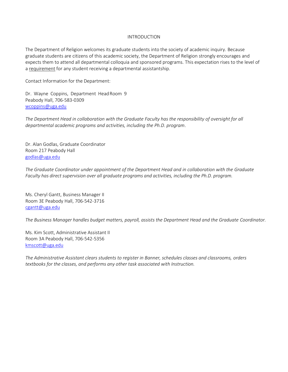#### INTRODUCTION

The Department of Religion welcomes its graduate students into the society of academic inquiry. Because graduate students are citizens of this academic society, the Department of Religion strongly encourages and expects them to attend all departmental colloquia and sponsored programs. This expectation rises to the level of a requirement for any student receiving a departmental assistantship.

Contact Information for the Department:

Dr. Wayne Coppins, Department Head Room 9 Peabody Hall, 706-583-0309 [wcoppins@uga.edu](mailto:wcoppins@uga.edu)

*The Department Head in collaboration with the Graduate Faculty has the responsibility of oversight for all departmental academic programs and activities, including the Ph.D. program*.

Dr. Alan Godlas, Graduate Coordinator Room 217 Peabody Hall [godlas@uga.edu](mailto:godlas@uga.edu)

*The Graduate Coordinator under appointment of the Department Head and in collaboration with the Graduate Faculty has direct supervision over all graduate programs and activities, including the Ph.D. program.* 

Ms. Cheryl Gantt, Business Manager II Room 3E Peabody Hall, 706-542-3716 [cgantt@uga.edu](mailto:cgantt@uga.edu)

*The Business Manager handles budget matters, payroll, assists the Department Head and the Graduate Coordinator.* 

Ms. Kim Scott, Administrative Assistant II Room 3A Peabody Hall, 706-542-5356 [kmscott@uga.edu](mailto:kmscott@uga.edu)

*The Administrative Assistant clears students to register in Banner, schedules classes and classrooms, orders textbooks for the classes, and performs any other task associated with Instruction.*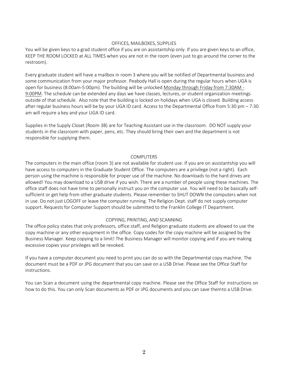#### OFFICES, MAILBOXES, SUPPLIES

You will be given keys to a grad student office if you are on assistantship only. If you are given keys to an office, KEEP THE ROOM LOCKED at ALL TIMES when you are not in the room (even just to go around the corner to the restroom).

Every graduate student will have a mailbox in room 3 where you will be notified of Departmental business and some communication from your major professor. Peabody Hall is open during the regular hours when UGA is open for business (8:00am-5:00pm). The building will be unlocked Monday through Friday from 7:30AM - 9:00PM. The schedule can be extended any days we have classes, lectures, or student organization meetings outside of that schedule. Also note that the building is locked on holidays when UGA is closed. Building access after regular business hours will be by your UGA ID card. Access to the Departmental Office from 5:30 pm – 7:30 am will require a key and your UGA ID card.

Supplies in the Supply Closet (Room 3B) are for Teaching Assistant use in the classroom. DO NOT supply your students in the classroom with paper, pens, etc. They should bring their own and the department is not responsible for supplying them.

#### COMPUTERS

The computers in the main office (room 3) are not available for student use. If you are on assistantship you will have access to computers in the Graduate Student Office. The computers are a privilege (not a right). Each person using the machine is responsible for proper use of the machine. No downloads to the hard drives are allowed! You may download to a USB drive if you wish. There are a number of people using these machines. The office staff does not have time to personally instruct you on the computer use. You will need to be basically selfsufficient or get help from other graduate students. Please remember to SHUT DOWN the computers when not in use. Do not just LOGOFF or leave the computer running. The Religion Dept. staff do not supply computer support. Requests for Computer Support should be submitted to the Franklin College IT Department.

## COPYING, PRINTING, AND SCANNING

The office policy states that only professors, office staff, and Religion graduate students are allowed to use the copy machine or any other equipment in the office. Copy codes for the copy machine will be assigned by the Business Manager. Keep copying to a limit! The Business Manager will monitor copying and if you are making excessive copies your privileges will be revoked.

If you have a computer document you need to print you can do so with the Departmental copy machine. The document must be a PDF or JPG document that you can save on a USB Drive. Please see the Office Staff for instructions.

You can Scan a document using the departmental copy machine. Please see the Office Staff for instructions on how to do this. You can only Scan documents as PDF or JPG documents and you can save themto a USB Drive.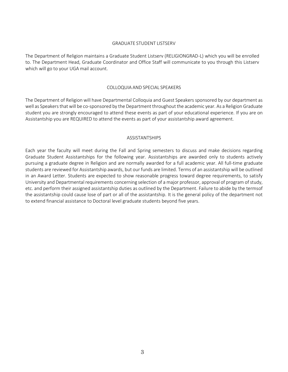#### GRADUATE STUDENT LISTSERV

The Department of Religion maintains a Graduate Student Listserv (RELIGIONGRAD-L) which you will be enrolled to. The Department Head, Graduate Coordinator and Office Staff will communicate to you through this Listserv which will go to your UGA mail account.

#### COLLOQUIA AND SPECIAL SPEAKERS

The Department of Religion will have Departmental Colloquia and Guest Speakers sponsored by our department as well as Speakers that will be co-sponsored by the Department throughout the academic year. As a Religion Graduate student you are strongly encouraged to attend these events as part of your educational experience. If you are on Assistantship you are REQUIRED to attend the events as part of your assistantship award agreement.

## ASSISTANTSHIPS

Each year the faculty will meet during the Fall and Spring semesters to discuss and make decisions regarding Graduate Student Assistantships for the following year. Assistantships are awarded only to students actively pursuing a graduate degree in Religion and are normally awarded for a full academic year. All full-time graduate students are reviewed for Assistantship awards, but our funds are limited. Terms of an assistantship will be outlined in an Award Letter. Students are expected to show reasonable progress toward degree requirements, to satisfy University and Departmental requirements concerning selection of a major professor, approval of program of study, etc. and perform their assigned assistantship duties as outlined by the Department. Failure to abide by the termsof the assistantship could cause lose of part or all of the assistantship. It is the general policy of the department not to extend financial assistance to Doctoral level graduate students beyond five years.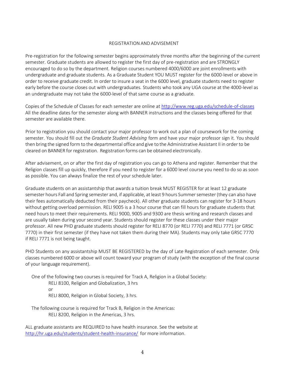#### REGISTRATION AND ADVISEMENT

Pre-registration for the following semester begins approximately three months after the beginning of the current semester. Graduate students are allowed to register the first day of pre-registration and are STRONGLY encouraged to do so by the department. Religion courses numbered 4000/6000 are joint enrollments with undergraduate and graduate students. As a Graduate Student YOU MUST register for the 6000-level or above in order to receive graduate credit. In order to insure a seat in the 6000 level, graduate students need to register early before the course closes out with undergraduates. Students who took any UGA course at the 4000-level as an undergraduate may not take the 6000-level of thatsame course as a graduate.

Copies of the Schedule of Classes for each semester are online at<http://www.reg.uga.edu/schedule-of-classes> All the deadline dates for the semester along with BANNER instructions and the classes being offered for that semester are available there.

Prior to registration you should contact your major professor to work out a plan of coursework for the coming semester. You should fill out the *Graduate Student Advising* form and have your major professor sign it. You should then bring the signed form to the departmental office and give to the Administrative Assistant II in order to be cleared on BANNER for registration. Registration forms can be obtained electronically.

After advisement, on or after the first day of registration you can go to Athena and register. Remember that the Religion classes fill up quickly, therefore if you need to register for a 6000 level course you need to do so as soon as possible. You can always finalize the rest of your schedule later.

Graduate students on an assistantship that awards a tuition break MUST REGISTER for at least 12 graduate semester hours Fall and Spring semester and, if applicable, at least 9 hours Summer semester (they can also have their fees automatically deducted from their paycheck). All other graduate students can register for 3-18 hours without getting overload permission. RELI 9005 is a 3 hour course that can fill hours for graduate students that need hours to meet their requirements. RELI 9000, 9005 and 9300 are thesis writing and research classes and are usually taken during your second year. Students should register for these classes under their major professor. All new PHD graduate students should register for RELI 8770 (or RELI 7770) and RELI 7771 (or GRSC 7770) in their first semester (if they have not taken them during their MA). Students may only take GRSC 7770 if RELI 7771 is not being taught.

PHD Students on any assistantship MUST BE REGISTERED by the day of Late Registration of each semester. Only classes numbered 6000 or above will count toward your program of study (with the exception of the final course of your language requirement).

One of the following two courses is required for Track A, Religion in a Global Society: RELI 8100, Religion and Globalization, 3 hrs or RELI 8000, Religion in Global Society, 3 hrs.

The following course is required for Track B, Religion in the Americas: RELI 8200, Religion in the Americas, 3 hrs.

ALL graduate assistants are REQUIRED to have health insurance. See the website at <http://hr.uga.edu/students/student-health-insurance/> for more information.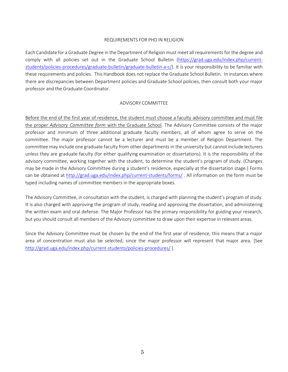## REQUIREMENTS FOR PHD IN RELIGION

Each Candidate for a Graduate Degree in the Department of Religion must meet all requirements for the degree and comply with all policies set out in the Graduate School Bulletin [\(https://grad.uga.edu/index.php/current](https://grad.uga.edu/index.php/current-students/policies-procedures/graduate-bulletin/graduate-bulletin-a-c/)[students/policies-procedures/graduate-bulletin/graduate-bulletin-a-c/\)](https://grad.uga.edu/index.php/current-students/policies-procedures/graduate-bulletin/graduate-bulletin-a-c/). It is your responsibility to be familiar with these requirements and policies. This Handbook does not replace the Graduate School Bulletin. In instances where there are discrepancies between Department policies and Graduate School policies, then consult both your major professor and the Graduate Coordinator.

#### ADVISORY COMMITTEE

Before the end of the first year of residence, the student must choose a faculty advisory committee and must file the proper *Advisory Committee form* with the Graduate School. The Advisory Committee consists of the major professor and minimum of three additional graduate faculty members, all of whom agree to serve on the committee. The major professor cannot be a lecturer and must be a member of Religion Department. The committee may include one graduate faculty from other departments in the university but cannot include lecturers unless they are graduate faculty (for either qualifying examination or dissertations). It is the responsibility of the advisory committee, working together with the student, to determine the student's program of study. (Changes may be made in the Advisory Committee during a student's residence, especially at the dissertation stage.) Forms can be obtained at<http://grad.uga.edu/index.php/current-students/forms/> . All information on the form must be typed including names of committee members in the appropriate boxes.

The Advisory Committee, in consultation with the student, is charged with planning the student's program of study. It is also charged with approving the program of study, reading and approving the dissertation, and administering the written exam and oral defense. The Major Professor has the primary responsibility for guiding your research, but you should consult all members of the Advisory committee to draw upon their expertise in relevant areas.

Since the Advisory Committee must be chosen by the end of the first year of residence, this means that a major area of concentration must also be selected, since the major professor will represent that major area. [See <http://grad.uga.edu/index.php/current-students/policies-procedures/> ].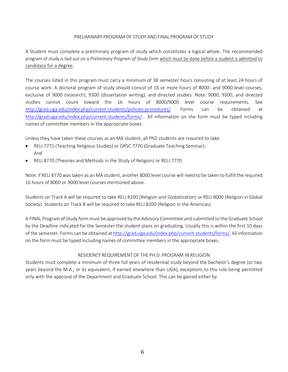## PRELIMINARY PROGRAM OF STUDY AND FINAL PROGRAM OF STUDY

A Student must complete a preliminary program of study which constitutes a logical whole. The recommended program of study is laid out on a *Preliminary Program of Study form* which must be done before a student is admitted to candidacy for a degree.

The courses listed in this program must carry a minimum of 38 semester hours consisting of at least 24 hours of course work. A doctoral program of study should consist of 16 or more hours of 8000- and 9000-level courses, exclusive of 9000 (research), 9300 (dissertation writing), and directed studies. Note: 9000, 9300, and directed studies cannot count toward the 16 hours of 8000/9000 level course requirements. See [http://grad.uga.edu/index.php/current-students/policies-procedures/.](http://grad.uga.edu/index.php/current-students/policies-procedures/) Forms can be obtained at <http://grad.uga.edu/index.php/current-students/forms/> . All information on the form must be typed including names of committee members in the appropriate boxes.

Unless they have taken these courses as an MA student, all PhD students are required to take:

- RELI 7771 (Teaching Religious Studies) or GRSC 7770 (Graduate Teaching Seminar); And
- RELI 8770 (Theories and Methods in the Study of Religion) or RELI 7770

Note: if RELI 8770 was taken as an MA student, another 8000 level course will need to be taken to fulfill the required 16 hours of 8000 or 9000 level courses mentioned above.

Students on Track A will be required to take RELI 8100 (Religion and Globalization) or RELI 8000 (Religion in Global Society). Students on Track B will be required to take RELI 8200 (Religion in the Americas).

A FINAL Program of Study form must be approved by the Advisory Committee and submitted to the Graduate School by the Deadline indicated for the Semester the student plans on graduating. Usually this is within the first 10 days of the semester. Forms can be obtained at [http://grad.uga.edu/index.php/current-students/forms/.](http://grad.uga.edu/index.php/current-students/forms/) All information on the form must be typed including names of committee members in the appropriate boxes.

## RESIDENCY REQUIREMENT OF THE PH.D. PROGRAM IN RELIGION

Students must complete a minimum of three full years of residential study beyond the bachelor's degree (or two years beyond the M.A., or its equivalent, if earned elsewhere than UGA), exceptions to this rule being permitted only with the approval of the Department and Graduate School. This can be gained either by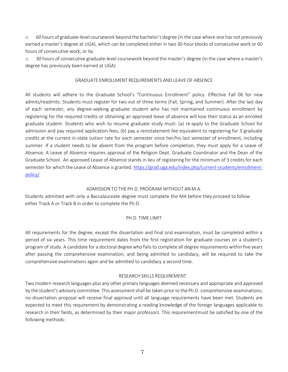o 60 hours of graduate-level coursework beyond the bachelor's degree (in the case where one has not previously earned a master's degree at UGA), which can be completed either in two 30-hour blocks of consecutive work or 60 hours of consecutive work; or by

o 30 hours of consecutive graduate-level coursework beyond the master's degree (in the case where a master's degree has previously been earned at UGA)

## GRADUATE ENROLLMENT REQUIREMENTS AND LEAVE OF ABSENCE

All students will adhere to the Graduate School's "Continuous Enrollment" policy. Effective Fall 06 for new admits/readmits: Students must register for two out of three terms (Fall, Spring, and Summer). After the last day of each semester, any degree-seeking graduate student who has not maintained continuous enrollment by registering for the required credits or obtaining an approved leave of absence will lose their status as an enrolled graduate student. Students who wish to resume graduate study must: (a) re-apply to the Graduate School for admission and pay required application fees, (b) pay a reinstatement fee equivalent to registering for 3 graduate credits at the current in-state tuition rate for each semester since her/his last semester of enrollment, including summer. If a student needs to be absent from the program before completion, they must apply for a Leave of Absence. A Leave of Absence requires approval of the Religion Dept. Graduate Coordinator and the Dean of the Graduate School. An approved Leave of Absence stands in lieu of registering for the minimum of 3 credits for each semester for which the Leave of Absence is granted. [https://grad.uga.edu/index.php/current-students/enrollment](https://grad.uga.edu/index.php/current-students/enrollment-policy/)[policy/](https://grad.uga.edu/index.php/current-students/enrollment-policy/)

## ADMISSION TO THE PH.D. PROGRAM WITHOUT AN M.A.

Students admitted with only a Baccalaureate degree must complete the MA before they proceed to follow either Track A or Track B in order to complete the Ph.D.

## PH.D. TIME LIMIT

All requirements for the degree, except the dissertation and final oral examination, must be completed within a period of six years. This time requirement dates from the first registration for graduate courses on a student's program of study. A candidate for a doctoral degree who fails to complete all degree requirements within five years after passing the comprehensive examination, and being admitted to candidacy, will be required to take the comprehensive examinations again and be admitted to candidacy a second time.

## RESEARCH SKILLS REQUIREMENT

Two modern research languages plus any other primary languages deemed necessary and appropriate and approved by the student's advisory committee. This assessment shall be taken prior to the Ph.D. comprehensive examinations; no dissertation proposal will receive final approval until all language requirements have been met. Students are expected to meet this requirement by demonstrating a reading knowledge of the foreign languages applicable to research in their fields, as determined by their major professors. This requirementmust be satisfied by one of the following methods: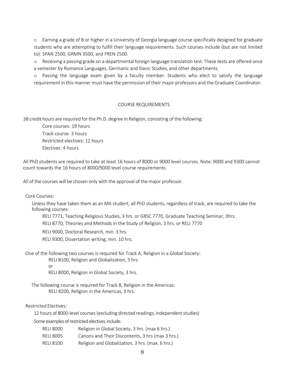o Earning a grade of B or higher in a University of Georgia language course specifically designed for graduate students who are attempting to fulfill their language requirements. Such courses include (but are not limited to): SPAN 2500, GRMN 3500, and FREN 2500.

o Receiving a passing grade on a departmental foreign language translation test. These tests are offered once a semester by Romance Languages, Germanic and Slavic Studies, and other departments.

o Passing the language exam given by a faculty member. Students who elect to satisfy the language requirement in this manner must have the permission of their major professors and the Graduate Coordinator.

## COURSE REQUIREMENTS

38 credit hours are required for the Ph.D. degree in Religion, consisting of the following:

Core courses: 19 hours Track course: 3 hours Restricted electives: 12 hours Electives: 4 hours

All PhD students are required to take at least 16 hours of 8000 or 9000 level courses. Note: 9000 and 9300 cannot count towards the 16 hours of 8000/9000 level course requirements.

All of the courses will be chosen only with the approval of the major professor.

Core Courses:

Unless they have taken them as an MA student, all PhD students, regardless of track, are required to take the following courses:

RELI 7771, Teaching Religious Studies, 3 hrs. or GRSC 7770, Graduate Teaching Seminar, 3hrs.

RELI 8770, Theories and Methods in the Study of Religion, 3 hrs. or RELI 7770

RELI 9000, Doctoral Research, min. 3 hrs.

RELI 9300, Dissertation writing, min. 10 hrs.

One of the following two courses is required for Track A, Religion in a Global Society:

RELI 8100, Religion and Globalization, 3 hrs

or

RELI 8000, Religion in Global Society, 3 hrs.

The following course is required for Track B, Religion in the Americas: RELI 8200, Religion in the Americas, 3 hrs.

Restricted Electives:

12 hours of 8000-level courses (excluding directed readings, independent studies)

Some examples of restricted electives include:

- RELI 8000 Religion in Global Society, 3 hrs. (max 6 hrs.)
- RELI 8005 Canons and Their Discontents, 3 hrs (max 3 hrs.)
- RELI 8100 Religion and Globalization, 3 hrs. (max. 6 hrs.)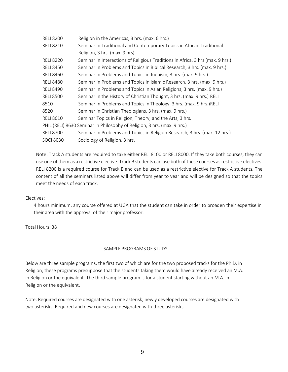| <b>RELI 8200</b>                                                         | Religion in the Americas, 3 hrs. (max. 6 hrs.)                                 |  |
|--------------------------------------------------------------------------|--------------------------------------------------------------------------------|--|
| <b>RELI 8210</b>                                                         | Seminar in Traditional and Contemporary Topics in African Traditional          |  |
|                                                                          | Religion, 3 hrs. (max. 9 hrs)                                                  |  |
| <b>RELI 8220</b>                                                         | Seminar in Interactions of Religious Traditions in Africa, 3 hrs (max. 9 hrs.) |  |
| <b>RELI 8450</b>                                                         | Seminar in Problems and Topics in Biblical Research, 3 hrs. (max. 9 hrs.)      |  |
| <b>RELI 8460</b>                                                         | Seminar in Problems and Topics in Judaism, 3 hrs. (max. 9 hrs.)                |  |
| <b>RELI 8480</b>                                                         | Seminar in Problems and Topics in Islamic Research, 3 hrs. (max. 9 hrs.)       |  |
| <b>RELI 8490</b>                                                         | Seminar in Problems and Topics in Asian Religions, 3 hrs. (max. 9 hrs.)        |  |
| <b>RELI 8500</b>                                                         | Seminar in the History of Christian Thought, 3 hrs. (max. 9 hrs.) RELI         |  |
| 8510                                                                     | Seminar in Problems and Topics in Theology, 3 hrs. (max. 9 hrs.) RELI          |  |
| 8520                                                                     | Seminar in Christian Theologians, 3 hrs. (max. 9 hrs.)                         |  |
| <b>RELI 8610</b>                                                         | Seminar Topics in Religion, Theory, and the Arts, 3 hrs.                       |  |
| PHIL (RELI) 8630 Seminar in Philosophy of Religion, 3 hrs. (max. 9 hrs.) |                                                                                |  |
| <b>RELI 8700</b>                                                         | Seminar in Problems and Topics in Religion Research, 3 hrs. (max. 12 hrs.)     |  |
| <b>SOCI 8030</b>                                                         | Sociology of Religion, 3 hrs.                                                  |  |

Note: Track A students are required to take either RELI 8100 or RELI 8000. If they take both courses, they can use one of them as a restrictive elective. Track B students can use both of these courses as restrictive electives. RELI 8200 is a required course for Track B and can be used as a restrictive elective for Track A students. The content of all the seminars listed above will differ from year to year and will be designed so that the topics meet the needs of each track.

## Electives:

4 hours minimum, any course offered at UGA that the student can take in order to broaden their expertise in their area with the approval of their major professor.

Total Hours: 38

## SAMPLE PROGRAMS OF STUDY

Below are three sample programs, the first two of which are for the two proposed tracks for the Ph.D. in Religion; these programs presuppose that the students taking them would have already received an M.A. in Religion or the equivalent. The third sample program is for a student starting without an M.A. in Religion or the equivalent.

Note: Required courses are designated with one asterisk; newly developed courses are designated with two asterisks. Required and new courses are designated with three asterisks.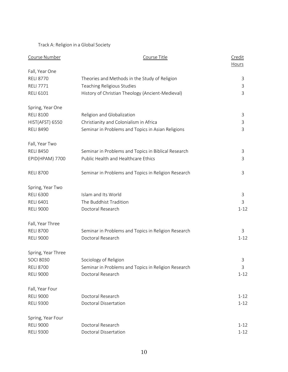Track A: Religion in a Global Society

| Course Number      | Course Title                                        | Credit<br><b>Hours</b> |
|--------------------|-----------------------------------------------------|------------------------|
| Fall, Year One     |                                                     |                        |
| <b>RELI 8770</b>   | Theories and Methods in the Study of Religion       | 3                      |
| <b>RELI 7771</b>   | Teaching Religious Studies                          | 3                      |
| <b>RELI 6101</b>   | History of Christian Theology (Ancient-Medieval)    | 3                      |
| Spring, Year One   |                                                     |                        |
| <b>RELI 8100</b>   | Religion and Globalization                          | 3                      |
| HIST(AFST) 6550    | Christianity and Colonialism in Africa              | 3                      |
| <b>RELI 8490</b>   | Seminar in Problems and Topics in Asian Religions   | 3                      |
| Fall, Year Two     |                                                     |                        |
| <b>RELI 8450</b>   | Seminar in Problems and Topics in Biblical Research | 3                      |
| EPID(HPAM) 7700    | Public Health and Healthcare Ethics                 | 3                      |
| <b>RELI 8700</b>   | Seminar in Problems and Topics in Religion Research | 3                      |
| Spring, Year Two   |                                                     |                        |
| <b>RELI 6300</b>   | Islam and Its World                                 | 3                      |
| <b>RELI 6401</b>   | The Buddhist Tradition                              | 3                      |
| <b>RELI 9000</b>   | Doctoral Research                                   | $1 - 12$               |
| Fall, Year Three   |                                                     |                        |
| <b>RELI 8700</b>   | Seminar in Problems and Topics in Religion Research | 3                      |
| <b>RELI 9000</b>   | Doctoral Research                                   | $1 - 12$               |
| Spring, Year Three |                                                     |                        |
| <b>SOCI 8030</b>   | Sociology of Religion                               | 3                      |
| <b>RELI 8700</b>   | Seminar in Problems and Topics in Religion Research | 3                      |
| <b>RELI 9000</b>   | Doctoral Research                                   | $1 - 12$               |
| Fall, Year Four    |                                                     |                        |
| <b>RELI 9000</b>   | Doctoral Research                                   | $1 - 12$               |
| <b>RELI 9300</b>   | <b>Doctoral Dissertation</b>                        | $1 - 12$               |
| Spring, Year Four  |                                                     |                        |
| <b>RELI 9000</b>   | Doctoral Research                                   | $1 - 12$               |
| <b>RELI 9300</b>   | Doctoral Dissertation                               | $1 - 12$               |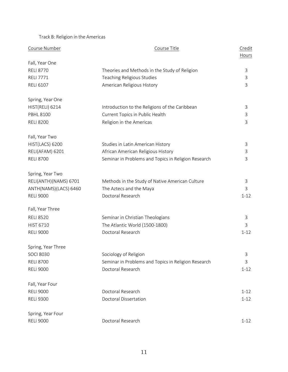Track B: Religion in the Americas

| Course Number         | Course Title                                        | Credit<br>Hours |
|-----------------------|-----------------------------------------------------|-----------------|
| Fall, Year One        |                                                     |                 |
| <b>RELI 8770</b>      | Theories and Methods in the Study of Religion       | 3               |
| <b>RELI 7771</b>      | Teaching Religious Studies                          | 3               |
| <b>RELI 6107</b>      | American Religious History                          | 3               |
| Spring, Year One      |                                                     |                 |
| HIST(RELI) 6214       | Introduction to the Religions of the Caribbean      | 3               |
| <b>PBHL 8100</b>      | Current Topics in Public Health                     | 3               |
| <b>RELI 8200</b>      | Religion in the Americas                            | 3               |
| Fall, Year Two        |                                                     |                 |
| HIST(LACS) 6200       | Studies in Latin American History                   | 3               |
| RELI(AFAM) 6201       | African American Religious History                  | 3               |
| <b>RELI 8700</b>      | Seminar in Problems and Topics in Religion Research | 3               |
| Spring, Year Two      |                                                     |                 |
| RELI(ANTH)(NAMS) 6701 | Methods in the Study of Native American Culture     | 3               |
| ANTH(NAMS)(LACS) 6460 | The Aztecs and the Maya                             | 3               |
| <b>RELI 9000</b>      | Doctoral Research                                   | $1 - 12$        |
| Fall, Year Three      |                                                     |                 |
| <b>RELI 8520</b>      | Seminar in Christian Theologians                    | 3               |
| <b>HIST 6710</b>      | The Atlantic World (1500-1800)                      | 3               |
| <b>RELI 9000</b>      | Doctoral Research                                   | $1 - 12$        |
| Spring, Year Three    |                                                     |                 |
| <b>SOCI 8030</b>      | Sociology of Religion                               | 3               |
| <b>RELI 8700</b>      | Seminar in Problems and Topics in Religion Research | 3               |
| <b>RELI 9000</b>      | Doctoral Research                                   | $1 - 12$        |
| Fall, Year Four       |                                                     |                 |
| <b>RELI 9000</b>      | Doctoral Research                                   | $1 - 12$        |
| <b>RELI 9300</b>      | <b>Doctoral Dissertation</b>                        | $1 - 12$        |
| Spring, Year Four     |                                                     |                 |
| <b>RELI 9000</b>      | Doctoral Research                                   | $1 - 12$        |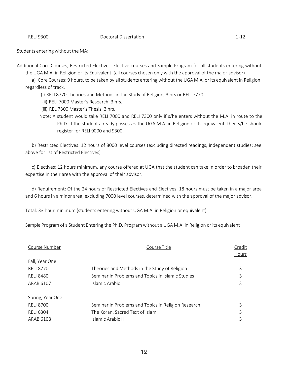#### RELI 9300 **Doctoral Dissertation** 1-12

Additional Core Courses, Restricted Electives, Elective courses and Sample Program for all students entering without the UGA M.A. in Religion or Its Equivalent (all courses chosen only with the approval of the major advisor)

a) Core Courses: 9 hours, to be taken by all students entering without the UGA M.A. or its equivalent in Religion, regardless of track.

(i) RELI 8770 Theories and Methods in the Study of Religion, 3 hrs or RELI 7770.

(ii) RELI 7000 Master's Research, 3 hrs.

(iii) RELI7300 Master's Thesis, 3 hrs.

Note: A student would take RELI 7000 and RELI 7300 only if s/he enters without the M.A. in route to the Ph.D. If the student already possesses the UGA M.A. in Religion or its equivalent, then s/he should register for RELI 9000 and 9300.

b) Restricted Electives: 12 hours of 8000 level courses (excluding directed readings, independent studies; see above for list of Restricted Electives)

c) Electives: 12 hours minimum, any course offered at UGA that the student can take in order to broaden their expertise in their area with the approval of their advisor.

d) Requirement: Of the 24 hours of Restricted Electives and Electives, 18 hours must be taken in a major area and 6 hours in a minor area, excluding 7000 level courses, determined with the approval of the major advisor.

Total: 33 hour minimum (students entering without UGA M.A. in Religion or equivalent)

Sample Program of a Student Entering the Ph.D. Program without a UGA M.A. in Religion or its equivalent

| Course Number    | Course Title                                        | Credit<br>Hours |
|------------------|-----------------------------------------------------|-----------------|
| Fall, Year One   |                                                     |                 |
| <b>RELI 8770</b> | Theories and Methods in the Study of Religion       | 3               |
| <b>RELI 8480</b> | Seminar in Problems and Topics in Islamic Studies   | 3               |
| ARAB 6107        | Islamic Arabic I                                    | 3               |
| Spring, Year One |                                                     |                 |
| <b>RELI 8700</b> | Seminar in Problems and Topics in Religion Research | 3               |
| <b>RELI 6304</b> | The Koran, Sacred Text of Islam                     | 3               |
| ARAB 6108        | Islamic Arabic II                                   | 3               |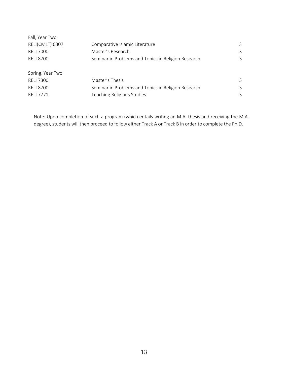| Fall, Year Two   |                                                     |   |
|------------------|-----------------------------------------------------|---|
| RELI(CMLT) 6307  | Comparative Islamic Literature                      | 3 |
| <b>RELI 7000</b> | Master's Research                                   | 3 |
| <b>RELI 8700</b> | Seminar in Problems and Topics in Religion Research | 3 |
|                  |                                                     |   |
| Spring, Year Two |                                                     |   |
| <b>RELI 7300</b> | Master's Thesis                                     | 3 |
| <b>RELI 8700</b> | Seminar in Problems and Topics in Religion Research | 3 |
| <b>RELI 7771</b> | Teaching Religious Studies                          | 3 |
|                  |                                                     |   |

Note: Upon completion of such a program (which entails writing an M.A. thesis and receiving the M.A. degree), students will then proceed to follow either Track A or Track B in order to complete the Ph.D.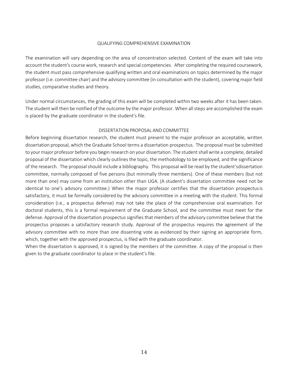#### QUALIFYING COMPREHENSIVE EXAMINATION

The examination will vary depending on the area of concentration selected. Content of the exam will take into account the student's course work, research and special competencies. After completing the required coursework, the student must pass comprehensive qualifying written and oral examinations on topics determined by the major professor (i.e. committee chair) and the advisory committee (in consultation with the student), covering major field studies, comparative studies and theory.

Under normal circumstances, the grading of this exam will be completed within two weeks after it has been taken. The student will then be notified of the outcome by the major professor. When all steps are accomplished the exam is placed by the graduate coordinator in the student's file.

## DISSERTATION PROPOSAL AND COMMITTEE

Before beginning dissertation research, the student must present to the major professor an acceptable, written dissertation proposal, which the Graduate School terms a dissertation prospectus. The proposal must be submitted to your major professor before you begin research on your dissertation. The student shall write a complete, detailed proposal of the dissertation which clearly outlines the topic, the methodology to be employed, and the significance of the research. The proposalshould include a bibliography. This proposal will be read by the student'sdissertation committee, normally composed of five persons (but minimally three members). One of these members (but not more than one) may come from an institution other than UGA. (A student's dissertation committee need not be identical to one's advisory committee.) When the major professor certifies that the dissertation prospectusis satisfactory, it must be formally considered by the advisory committee in a meeting with the student. This formal consideration (i.e., a prospectus defense) may not take the place of the comprehensive oral examination. For doctoral students, this is a formal requirement of the Graduate School, and the committee must meet for the defense. Approval of the dissertation prospectus signifies that members of the advisory committee believe that the prospectus proposes a satisfactory research study. Approval of the prospectus requires the agreement of the advisory committee with no more than one dissenting vote as evidenced by their signing an appropriate form, which, together with the approved prospectus, is filed with the graduate coordinator.

When the dissertation is approved, it is signed by the members of the committee. A copy of the proposal is then given to the graduate coordinator to place in the student's file.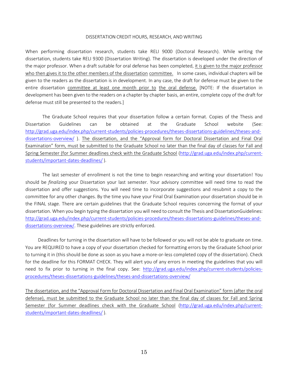#### DISSERTATION CREDIT HOURS, RESEARCH, AND WRITING

When performing dissertation research, students take RELI 9000 (Doctoral Research). While writing the dissertation, students take RELI 9300 (Dissertation Writing). The dissertation is developed under the direction of the major professor. When a draft suitable for oral defense has been completed, it is given to the major professor who then gives it to the other members of the dissertation committee. In some cases, individual chapters will be given to the readers as the dissertation is in development. In any case, the draft for defense must be given to the entire dissertation committee at least one month prior to the oral defense. [NOTE: If the dissertation in development has been given to the readers on a chapter by chapter basis, an entire, complete copy of the draft for defense must still be presented to the readers.]

The Graduate School requires that your dissertation follow a certain format. Copies of the Thesis and Dissertation Guidelines can be obtained at the Graduate School website (See: [http://grad.uga.edu/index.php/current-students/policies-procedures/theses-dissertations-guidelines/theses-and](http://grad.uga.edu/index.php/current-students/policies-procedures/theses-dissertations-guidelines/theses-and-dissertations-overview/)[dissertations-overview/](http://grad.uga.edu/index.php/current-students/policies-procedures/theses-dissertations-guidelines/theses-and-dissertations-overview/) ). The dissertation, and the "Approval form for Doctoral Dissertation and Final Oral Examination" form, must be submitted to the Graduate School no later than the final day of classes for Fall and Spring Semester (for Summer deadlines check with the Graduate School [\(http://grad.uga.edu/index.php/current](http://grad.uga.edu/index.php/current-students/important-dates-deadlines/)[students/important-dates-deadlines/](http://grad.uga.edu/index.php/current-students/important-dates-deadlines/) ).

The last semester of enrollment is not the time to begin researching and writing your dissertation! You should be *finalizing* your Dissertation your last semester. Your advisory committee will need time to read the dissertation and offer suggestions. You will need time to incorporate suggestions and resubmit a copy to the committee for any other changes. By the time you have your Final Oral Examination your dissertation should be in the FINAL stage. There are certain guidelines that the Graduate School requires concerning the format of your dissertation. When you begin typing the dissertation you will need to consult the Thesis and DissertationGuidelines: [http://grad.uga.edu/index.php/current-students/policies-procedures/theses-dissertations-guidelines/theses-and](http://grad.uga.edu/index.php/current-students/policies-procedures/theses-dissertations-guidelines/theses-and-dissertations-overview/)[dissertations-overview/.](http://grad.uga.edu/index.php/current-students/policies-procedures/theses-dissertations-guidelines/theses-and-dissertations-overview/) These guidelines are strictly enforced.

Deadlines for turning in the dissertation will have to be followed or you will not be able to graduate on time. You are REQUIRED to have a copy of your dissertation checked for formatting errors by the Graduate School prior to turning it in (this should be done as soon as you have a more-or-less completed copy of the dissertation). Check for the deadline for this FORMAT CHECK. They will alert you of any errors in meeting the guidelines that you will need to fix prior to turning in the final copy. See: [http://grad.uga.edu/index.php/current-students/policies](http://grad.uga.edu/index.php/current-students/policies-procedures/theses-dissertations-guidelines/theses-and-dissertations-overview/)[procedures/theses-dissertations-guidelines/theses-and-dissertations-overview/](http://grad.uga.edu/index.php/current-students/policies-procedures/theses-dissertations-guidelines/theses-and-dissertations-overview/)

The dissertation, and the "Approval Form for Doctoral Dissertation and Final Oral Examination" form (after the oral defense), must be submitted to the Graduate School no later than the final day of classes for Fall and Spring Semester (for Summer deadlines check with the Graduate School [\(http://grad.uga.edu/index.php/current](http://grad.uga.edu/index.php/current-students/important-dates-deadlines/)[students/important-dates-deadlines/](http://grad.uga.edu/index.php/current-students/important-dates-deadlines/) ).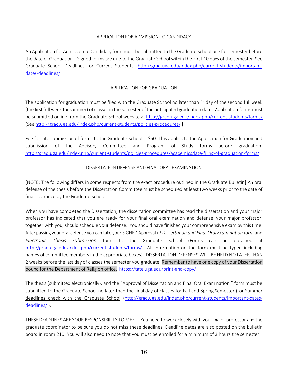## APPLICATION FOR ADMISSION TO CANDIDACY

An Application for Admission to Candidacy form must be submitted to the Graduate School one fullsemester before the date of Graduation. Signed forms are due to the Graduate School within the First 10 days of the semester. See Graduate School Deadlines for Current Students. [http://grad.uga.edu/index.php/current-students/important](http://grad.uga.edu/index.php/current-students/important-dates-deadlines/)[dates-deadlines/](http://grad.uga.edu/index.php/current-students/important-dates-deadlines/)

## APPLICATION FOR GRADUATION

The application for graduation must be filed with the Graduate School no later than Friday of the second full week (the first full week forsummer) of classes in the semester of the anticipated graduation date. Application forms must be submitted online from the Graduate School website at<http://grad.uga.edu/index.php/current-students/forms/> [See <http://grad.uga.edu/index.php/current-students/policies-procedures/> ]

Fee for late submission of forms to the Graduate School is \$50. This applies to the Application for Graduation and submission of the Advisory Committee and Program of Study forms before graduation. <http://grad.uga.edu/index.php/current-students/policies-procedures/academics/late-filing-of-graduation-forms/>

## DISSERTATION DEFENSE AND FINAL ORAL EXAMINATION

[NOTE: The following differs in some respects from the exact procedure outlined in the Graduate Bulletin] An oral defense of the thesis before the Dissertation Committee must be scheduled at least two weeks prior to the date of final clearance by the Graduate School.

When you have completed the Dissertation, the dissertation committee has read the dissertation and your major professor has indicated that you are ready for your final oral examination and defense, your major professor, together with you, should schedule your defense. You should have finished your comprehensive exam by thistime. After passing your oral defense you can take your SIGNED Approval *of Dissertation and Final Oral Examination form* and *Electronic Thesis Submission* form to the Graduate School (Forms can be obtained at <http://grad.uga.edu/index.php/current-students/forms/> . All information on the form must be typed including names of committee members in the appropriate boxes). DISSERTATION DEFENSES WILL BE HELD NO LATER THAN 2 weeks before the last day of classes the semester you graduate. Remember to have one copy of your Dissertation bound for the Department of Religion office. <https://tate.uga.edu/print-and-copy/>

The thesis (submitted electronically), and the "Approval of Dissertation and Final Oral Examination " form must be submitted to the Graduate School no later than the final day of classes for Fall and Spring Semester (for Summer deadlines check with the Graduate School [\(http://grad.uga.edu/index.php/current-students/important-dates](http://grad.uga.edu/index.php/current-students/important-dates-deadlines/)[deadlines/](http://grad.uga.edu/index.php/current-students/important-dates-deadlines/) ).

THESE DEADLINES ARE YOUR RESPONSIBILITY TO MEET. You need to work closely with your major professor and the graduate coordinator to be sure you do not miss these deadlines. Deadline dates are also posted on the bulletin board in room 210. You will also need to note that you must be enrolled for a minimum of 3 hours the semester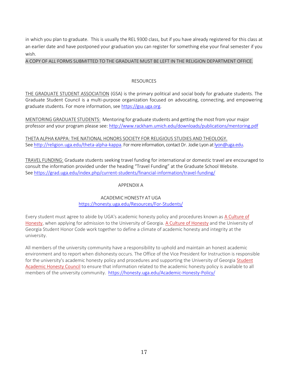in which you plan to graduate. This is usually the REL 9300 class, but if you have already registered for this class at an earlier date and have postponed your graduation you can register for something else your final semester if you wish.

A COPY OF ALL FORMS SUBMITTED TO THE GRADUATE MUST BE LEFT IN THE RELIGION DEPARTMENT OFFICE.

## RESOURCES

THE GRADUATE STUDENT ASSOCIATION (GSA) is the primary political and social body for graduate students. The Graduate Student Council is a multi-purpose organization focused on advocating, connecting, and empowering graduate students. For more information, see [https://gsa.uga.org.](https://gsa.uga.org/)

MENTORING GRADUATE STUDENTS: Mentoring for graduate students and getting the most from your major professor and your program please see: <http://www.rackham.umich.edu/downloads/publications/mentoring.pdf>

THETA ALPHA KAPPA: THE NATIONAL HONORS SOCIETY FOR RELIGIOUS STUDIES AND THEOLOGY. See [http://religion.uga.edu/theta-alpha-kappa.](http://religion.uga.edu/theta-alpha-kappa) For more information, contact Dr. Jodie Lyon at [lyon@uga.edu.](mailto:lyon@uga.edu)

TRAVEL FUNDING: Graduate students seeking travel funding for international or domestic travel are encouraged to consult the information provided under the heading "Travel Funding" at the Graduate School Website. See<https://grad.uga.edu/index.php/current-students/financial-information/travel-funding/>

## APPENDIX A

## ACADEMIC HONESTY AT UGA https://honesty.uga.edu/Resources/For-Students/

Every student must agree to abide by UGA's academic honesty policy and procedures known as [A Culture of](https://ovpi.uga.edu/academic-honesty/academic-honesty-policy) [Honesty, w](https://ovpi.uga.edu/academic-honesty/academic-honesty-policy)hen applying for admission to the University of Georgia[. A Culture of Honesty](https://ovpi.uga.edu/academic-honesty/academic-honesty-policy) and the University of Georgia Student Honor Code work together to define a climate of academic honesty and integrity at the university.

All members of the university community have a responsibility to uphold and maintain an honest academic environment and to report when dishonesty occurs. The Office of the Vice President for Instruction is responsible for the university's academic honesty policy and procedures and supporting the University of Georgia [Student](https://ovpi.uga.edu/academic-honesty/student-academic-honesty-council) [Academic Honesty Council](https://ovpi.uga.edu/academic-honesty/student-academic-honesty-council) to ensure that information related to the academic honesty policy is available to all members of the university community. https://honesty.uga.edu/Academic-Honesty-Policy/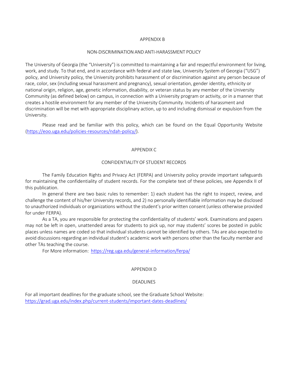#### APPENDIX B

#### NON-DISCRIMINATION AND ANTI-HARASSMENT POLICY

The University of Georgia (the "University") is committed to maintaining a fair and respectful environment for living, work, and study. To that end, and in accordance with federal and state law, University System of Georgia ("USG") policy, and University policy, the University prohibits harassment of or discrimination against any person because of race, color, sex (including sexual harassment and pregnancy), sexual orientation, gender identity, ethnicity or national origin, religion, age, genetic information, disability, or veteran status by any member of the University Community (as defined below) on campus, in connection with a University program or activity, or in a manner that creates a hostile environment for any member of the University Community. Incidents of harassment and discrimination will be met with appropriate disciplinary action, up to and including dismissal or expulsion from the University.

Please read and be familiar with this policy, which can be found on the Equal Opportunity Website [\(https://eoo.uga.edu/policies-resources/ndah-policy/\)](https://eoo.uga.edu/policies-resources/ndah-policy/).

## APPENDIX C

#### CONFIDENTIALITY OF STUDENT RECORDS

The Family Education Rights and Privacy Act (FERPA) and University policy provide important safeguards for maintaining the confidentiality of student records. For the complete text of these policies, see Appendix II of this publication.

In general there are two basic rules to remember: 1) each student has the right to inspect, review, and challenge the content of his/her University records, and 2) no personally identifiable information may be disclosed to unauthorized individuals or organizations without the student's prior written consent (unless otherwise provided for under FERPA).

As a TA, you are responsible for protecting the confidentiality of students' work. Examinations and papers may not be left in open, unattended areas for students to pick up, nor may students' scores be posted in public places unless names are coded so that individual students cannot be identified by others. TAs are also expected to avoid discussions regarding an individual student's academic work with persons other than the faculty member and other TAs teaching the course.

For More information: <https://reg.uga.edu/general-information/ferpa/>

#### APPENDIX D

## DEADLINES

For all important deadlines for the graduate school, see the Graduate School Website: <https://grad.uga.edu/index.php/current-students/important-dates-deadlines/>